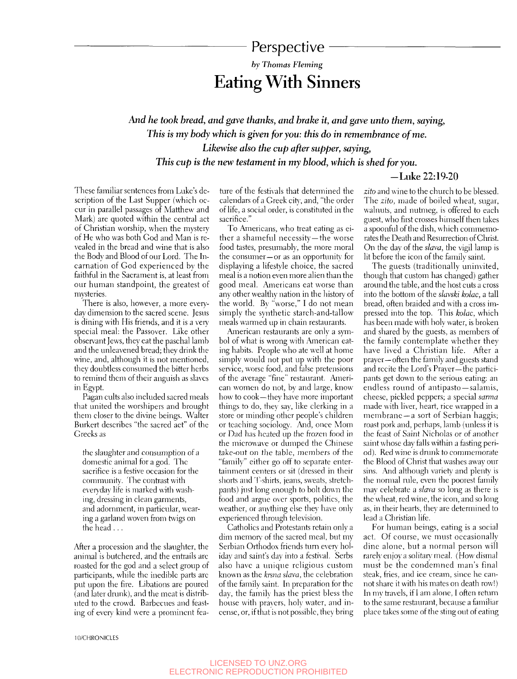# Perspective

# *by Thomas Fleming*  Eating With Sinners

*And he took bread, and gave thanks, and brake it, and gave unto them, saying, This is my body which is given for you: this do in remembrance of me. Likewise also the cup after supper, saying. This cup is the new testament in my blood, which is shed for you.* 

### -Luke 22:19-20

These familiar sentences from Luke's description of the Last Supper (which occur in parallel passages of Matthew and Mark) are quoted within the central act of Christian worship, when the mystery of He who was both God and Man is revealed in the bread and wine that is also the Body and Blood of our Lord. The Incarnation of God experienced bv the faithful in the Sacrament is, at least from our human standpoint, the greatest of mysteries.

There is also, however, a more everyday dimension to the sacred scene. Jesus is dining with His friends, and it is a very special meal: the Passover. Like other observant Jews, they eat the paschal lamb and the unleavened bread; they drink the wine, and, although it is not mentioned, they doubtless consumed the bitter herbs to remind them of their anguish as slaves in Egypt.

Pagan cults also included sacred meals that united the worshipers and brought them closer to the divine beings. Walter Burkert describes "the sacred act" of the Greeks as

the slaughter and consumption of a domestic animal for a god. The sacrifice is a festive occasion for the community. The contrast with everyday life is marked with washing, dressing in clean garments, and adornment, in particular, wearing a garland woven from twigs on the head . ..

After a procession and the slaughter, the animal is butchered, and the entrails arc roasted for the god and a select group of participants, while the inedible parts are put upon the fire. Libations are poured (and later drunk), and the meat is distributed to the crowd. Barbecues and feasting of every kind were a prominent fea-

ture of the festixals that determined the calendars of a Greek city, and, "the order of life, a social order, is consfituted in the sacrifice."

To Americans, who treat eating as either a shameful necessity —the worse food tastes, presumably, the more moral the consumer—or as an opportunity for displaying a lifestyle choice, the sacred meal is a notion even more alien than the good meal. Americans eat worse than any other wealthy nation in the history of the world. By "worse," I do not mean simply the synthetic starch-and-tallow meals warmed up in chain restaurants.

American restaurants are only a symbol of what is wrong with American eating habits. People who ate well at home simply would not put up with the poor service, worse food, and false pretensions of the average "fine" restaurant. American women do not, by and large, know how to cook—they have more important things to do, they say, like clerking in a store or minding other people's children or teaching sociology. And, once Mom or Dad has heated up the frozen food in the microwave or dumped the Chinese take-out on the table, members of the "family" either go off to separate entertainment centers or sit (dressed in their shorts and T-shirts, jeans, sweats, stretchpants) just long enough to bolt down the food and argue over sports, politics, the weather, or anything else they have only experienced through television.

Gatholics and Protestants retain only a dim memory of the sacred meal, but my Serbian Orthodox friends turn every holiday and saint's day into a festival. Serbs also have a unique religious custom known as the *krsna slava,* the celebration of the family saint. In preparation for the day, the family has the priest bless the house with prayers, holy water, and incense, or, if that is not possible, they bring

*zito* and wine to the church to be blessed. The *zito,* made of boiled wheat, sugar, walnuts, and nutmeg, is offered to each guest, who first crosses himself then takes a spoonful of the dish, which commemorates the Death and Resurrection of Christ. On the day of the *slava,* the vigil lamp is lit before the icon of the family saint.

The guests (traditionally uninvited, though that custom has changed) gather around the table, and the host cuts a cross into the bottom of the *slavski kolac,* a tall bread, often braided and with a cross impressed into the top. This *kolac,* which has been made with holy water, is broken and shared by the guests, as members of the family contemplate whether they have lived a Christian life. After a prayer—often the family and guests stand and recite the Lord's Prayer—the participants get down to the serious eating: an endless round of antipasto—salamis, cheese, pickled peppers; a special *sarma*  made with liver, heart, rice wrapped in a membrane —a sort of Serbian haggis; roast pork and, perhaps, lamb (unless it is the feast of Saint Nicholas or of another saint whose day falls within a fasting period). Red wine is drunk to commemorate the Blood of Christ that washes away our sins. And although variety and plenty is the normal rule, even the poorest family mav celebrate a *slava* so long as there is the wheat, red wine, the icon, and so long as, in their hearts, they are determined to lead a Christian life.

For human beings, eating is a social act. Of course, we must occasionally dine alone, but a normal person will rarely enjoy a solitary meal. (How dismal must be the condemned man's final steak, fries, and ice cream, since he cannot share it with his mates on death row!) In my travels, if I am alone, I often return to the same restaurant, because a familiar place takes some of the sting out of eating

lO/CHRONICLES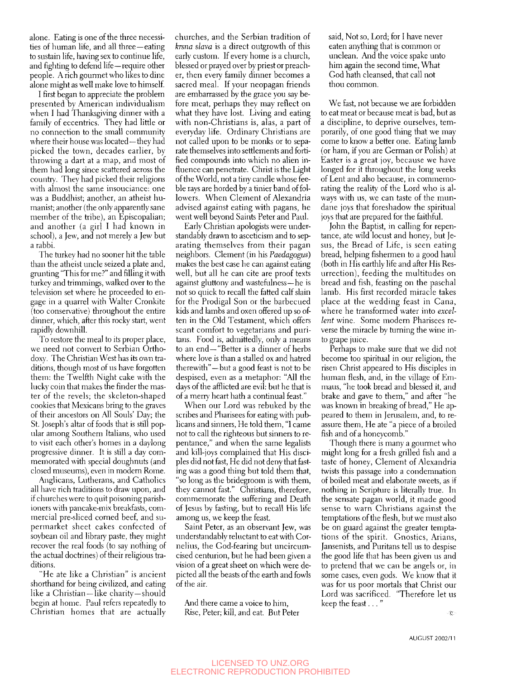alone. Eating is one of the three necessities of human life, and all three—eating to sustain life, having sex to continue life, and fighting to defend life—require other people. A rich gourmet who likes to dine alone might as well make love to himself

I first began to appreciate the problem presented by American individualism when I had Thanksgiving dinner with a family of eccentrics. They had little or no connection to the small community where their house was located—they had picked the town, decades earlier, by throwing a dart at a map, and most of them had long since scattered across the country. They had picked their religions with almost the same insouciance: one was a Buddhist; another, an atheist humanist; another (the only apparently sane member of the tribe), an Episcopalian; and another (a girl I had known in school), a Jew, and not merely a Jew but a rabbi.

The turkey had no sooner hit the table than the atheist uncle seized a plate and, grunting "This for me?" and filling it with turkey and trimmings, walked over to the television set where he proceeded to engage in a quarrel with Walter Cronkite (too conservative) throughout the entire dinner, which, after this rocky start, went rapidly downhill.

To restore *the* meal to its proper place, we need not convert to Serbian Orthodoxy. The Christian West has its own traditions, though most of us have forgotten them: the Twelfth Night cake with the lucky coin that makes the finder the master of the revels; the skeleton-shaped cookies that Mexicans bring to the graves of their ancestors on All Souls' Day; the St. Joseph's altar of foods that is still popular among Southern Italians, who used to visit each other's homes in a daylong progressive dinner. It is still a day commemorated with special doughnuts (and closed museums), even in modern Rome.

Anglicans, Lutherans, and Catholics all have rich traditions to draw upon, and if churches were to quit poisoning parishioners with pancake-mix breakfasts, commercial pre-sliced corned beef, and supermarket sheet cakes confected of soybean oil and library paste, they might recover the real foods (to say nothing of the actual doctiines) of their religious traditions.

"He ate like a Christian" is ancient shorthand for being civilized, and eating like a Christian—like charity—should begin at home. Paul refers repeatedly to Christian homes that are actually churches, and the Serbian tradition of *krsna slava* is a direct outgrowth of this early custom. If every home is a church, blessed or prayed over by priest or preacher, then every family dinner becomes a sacred meal. If your neopagan friends are embarrassed by the grace you say before meat, perhaps they may reflect on what they have lost. Living and eating with non-Christians is, alas, a part of everyday life. Ordinary Christians are not called upon to be monks or to separate themselves into settlements and fortified compounds into which no alien influence can penetrate. Christ is the Light of the World, not a tiny candle whose feeble rays are horded by a tinier band of followers. When Clement of Alexandria advised against eating with pagans, he went well beyond Saints Peter and Paul.

Early Christian apologists were understandably drawn to asceticism and to separating themselves from their pagan neighbors. Clement (in his *Paedagogus)*  makes the best case he can against eating well, but all he can cite are proof texts against gluttony and wastefulness—he is not so quick to recall the fatted calf slain for the Prodigal Son or the barbecued kids and lambs and oxen offered up so often in the Old Testament, which offers scant comfort to vegetarians and puritans. Food is, admittedly, only a means to an end—"Better is a dinner of herbs where love is than a stalled ox and hatred therewith"—but a good feast is not to be despised, even as a metaphor: "All the days of the afflicted are evil: but he that is of a merry heart hath a continual feast."

When our Lord was rebuked by the scribes and Pharisees for eating with publicans and sinners. He told them, "I came not to call the righteous but sinners to repentance," and when the same legalists and kill-joys complained that His disciples did not fast. He did not deny that fasting was a good thing but told them that, "so long as the bridegroom is with them, they cannot fast." Christians, therefore, commemorate the suffering and Death of Jesus by fasting, but to recall His life among us, we keep the feast.

Saint Peter, as an observant Jew, was understandably reluctant to eat with Cornelius, the God-fearing but uncircumcised centurion, but he had been given a vision of a great sheet on which were depicted all the beasts of the earth and fowls of the air.

And there came a voice to him, Rise, Peter; kill, and eat. But Peter said. Not so. Lord; for I have never eaten anything that is common or unclean. And the voice spake unto him again the second time. What God hath cleansed, that call not thou common.

We fast, not because we are forbidden to eat meat or because meat is bad, but as a discipline, to deprive ourselves, temporarily, of one good thing that we may come to know a better one. Eating lamb (or ham, if you are German or Polish) at Easter is a great joy, because we have longed for it throughout the long weeks of Lent and also because, in commemorating the reality of the Lord who is always with us, we can taste of the mundane joys that foreshadow the spiritual joys that are prepared for the faithful.

John the Baptist, in calling for repentance, ate wild locust and honey, but Jesus, the Bread of Life, is seen eating bread, helping fishermen to a good haul (both in His earthly life and after His Resurrection), feeding the multitudes on bread and fish, feasting on the paschal lamb. His first recorded miracle takes place at the wedding feast in Cana, where he transformed water into *excellent* wine. Some modern Pharisees reverse the miracle by turning the wine into grape juice.

Perhaps to make sure that we did not become too spiritual in our religion, the risen Christ appeared to His disciples in human flesh, and, in the village of Emmaus, "he took bread and blessed it, and brake and gave to them," and after "he was known in breaking of bread," He appeared to them in Jerusalem, and, to reassure them. He ate "a piece of a broiled fish and of a honeycomb."

Though there is many a gourmet who might long for a fresh grilled fish and a taste of honey, Clement of Alexandria twists this passage into a condemnation of boiled meat and elaborate sweets, as if nothing in Scripture is literally true. In the sensate pagan world, it made good sense to warn Christians against the temptations of the flesh, but we must also be on guard against the greater temptations of the spirit. Gnostics, Arians, Jansenists, and Puritans tell us to despise the good life that has been given us and to pretend that we can be angels or, in some cases, even gods. We know that it was for us poor mortals that Christ our Lord was sacrificed. "Therefore let us keep the feast..."